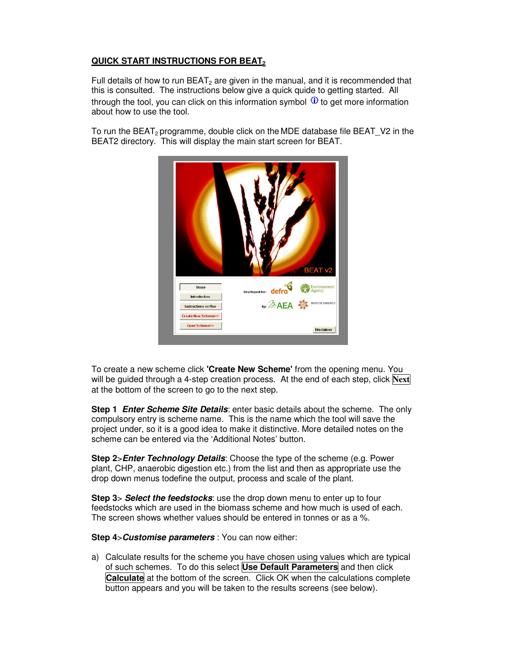## **QUICK START INSTRUCTIONS FOR BEAT<sup>2</sup>**

Full details of how to run  $BEAT<sub>2</sub>$  are given in the manual, and it is recommended that this is consulted. The instructions below give a quick quide to getting started. All through the tool, you can click on this information symbol  $\widehat{\mathbb{O}}$  to get more information about how to use the tool.

To run the  $BEAT<sub>2</sub>$  programme, double click on the MDE database file BEAT\_V2 in the BEAT2 directory. This will display the main start screen for BEAT.



To create a new scheme click **'Create New Scheme'** from the opening menu. You will be guided through a 4-step creation process. At the end of each step, click **Next** at the bottom of the screen to go to the next step.

**Step 1 Enter Scheme Site Details**: enter basic details about the scheme. The only compulsory entry is scheme name. This is the name which the tool will save the project under, so it is a good idea to make it distinctive. More detailed notes on the scheme can be entered via the 'Additional Notes' button.

**Step 2**>**Enter Technology Details**: Choose the type of the scheme (e.g. Power plant, CHP, anaerobic digestion etc.) from the list and then as appropriate use the drop down menus todefine the output, process and scale of the plant.

**Step 3**> **Select the feedstocks**: use the drop down menu to enter up to four feedstocks which are used in the biomass scheme and how much is used of each. The screen shows whether values should be entered in tonnes or as a %.

**Step 4**>**Customise parameters** : You can now either:

a) Calculate results for the scheme you have chosen using values which are typical of such schemes. To do this select **Use Default Parameters** and then click **Calculate** at the bottom of the screen. Click OK when the calculations complete button appears and you will be taken to the results screens (see below).